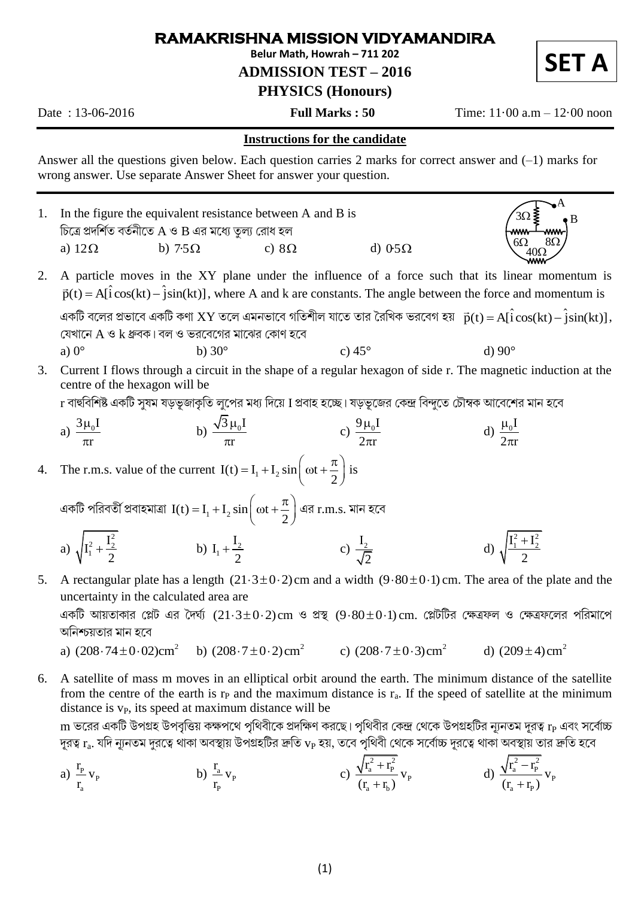## RAMAKRISHNA MISSION VIDYAMANDIRA

Belur Math. Howrah - 711 202

**ADMISSION TEST - 2016** 

## **PHYSICS (Honours)**

Date: 13-06-2016

**Full Marks: 50** 

Time:  $11 \cdot 00$  a.m  $- 12 \cdot 00$  noon

## **Instructions for the candidate**

Answer all the questions given below. Each question carries 2 marks for correct answer and  $(-1)$  marks for wrong answer. Use separate Answer Sheet for answer your question.

- In the figure the equivalent resistance between A and B is  $\mathbf{1}$ চিত্রে প্রদর্শিত বর্তনীতে A ও B এর মধ্যে তুল্য রোধ হল a)  $12\Omega$ b)  $7.5\Omega$ c)  $8\Omega$ d)  $0.5\Omega$
- A particle moves in the XY plane under the influence of a force such that its linear momentum is  $2.$  $\vec{p}(t) = A[i\cos(kt) - j\sin(kt)]$ , where A and k are constants. The angle between the force and momentum is একটি বলের প্রভাবে একটি কণা  $XY$  তলে এমনভাবে গতিশীল যাতে তার রৈখিক ভরবেগ হয়  $\vec{p}(t) = Af\hat{i}\cos(kt) - \hat{j}\sin(kt)$ ], যেখানে A ও k ধ্রুবক। বল ও ভরবেগের মাঝের কোণ হবে a)  $0^\circ$ b)  $30^\circ$ c)  $45^\circ$ d)  $90^\circ$
- Current I flows through a circuit in the shape of a regular hexagon of side r. The magnetic induction at the  $3.$ centre of the hexagon will be

r বাহুবিশিষ্ট একটি সযম যডভূজাকৃতি লপের মধ্য দিয়ে I প্রবাহ হচ্ছে। যডভূজের কেন্দ্র বিন্দতে চৌম্বক আবেশের মান হবে

b)  $\frac{\sqrt{3} \mu_0 I}{\pi}$ c)  $\frac{9 \mu_0 I}{2 \pi r}$ a)  $\frac{3\mu_0 I}{\pi r}$ d)  $\frac{\mu_0 I}{2\pi r}$ 

The r.m.s. value of the current  $I(t) = I_1 + I_2 \sin \left( \omega t + \frac{\pi}{2} \right)$  is 4.

একটি পরিবর্তী প্রবাহমাত্রা  $I(t) = I_1 + I_2 \sin \left(\omega t + \frac{\pi}{2}\right)$ এর  $r.m.s.$  মান হবে

- d)  $\sqrt{\frac{I_1^2 + I_2^2}{2}}$ a)  $\sqrt{I_1^2 + \frac{I_2^2}{2}}$ b)  $I_1 + \frac{I_2}{2}$ c)  $\frac{I_2}{\sqrt{2}}$
- A rectangular plate has a length  $(21.3\pm0.2)$  cm and a width  $(9.80\pm0.1)$  cm. The area of the plate and the 5. uncertainty in the calculated area are

একটি আয়তাকার প্লেট এর দৈর্ঘ্য  $(21.3 \pm 0.2)\text{cm}$  ও প্রস্থ  $(9.80 \pm 0.1)\text{cm}$ . প্লেটটির ক্ষেত্রফল ও ক্ষেত্রফলের পরিমাপে অনিশ্চয়তার মান হবে

- c)  $(208.7 + 0.3)$  cm<sup>2</sup> a)  $(208.74 \pm 0.02)$ cm<sup>2</sup> b)  $(208.7 \pm 0.2) \text{ cm}^2$ d)  $(209+4)$  cm<sup>2</sup>
- 6. A satellite of mass m moves in an elliptical orbit around the earth. The minimum distance of the satellite from the centre of the earth is  $r<sub>P</sub>$  and the maximum distance is  $r<sub>a</sub>$ . If the speed of satellite at the minimum distance is  $v_{P}$ , its speed at maximum distance will be

 $\, {\rm m}$  ভরের একটি উপগ্রহ উপবৃত্তিয় কক্ষপথে পৃথিবীকে প্রদক্ষিণ করছে। পৃথিবীর কেন্দ্র থেকে উপগ্রহটির ন্যূনতম দূরত্ব  ${\rm r}_{\rm P}$  এবং সর্বোচ্চ দূরত্ব  $r_a$ . যদি ন্যূনতম দুরত্বে থাকা অবস্থায় উপগ্রহটির দ্রুতি  $v_P$  হয়, তবে পৃথিবী থেকে সর্বোচ্চ দূরত্বে থাকা অবস্থায় তার দ্রুতি হবে

a) 
$$
\frac{r_p}{r_a} v_p
$$
   
b)  $\frac{r_a}{r_p} v_p$    
c)  $\frac{\sqrt{r_a^2 + r_p^2}}{(r_a + r_b)} v_p$    
d)  $\frac{\sqrt{r_a^2 - r_p^2}}{(r_a + r_p)} v_p$ 

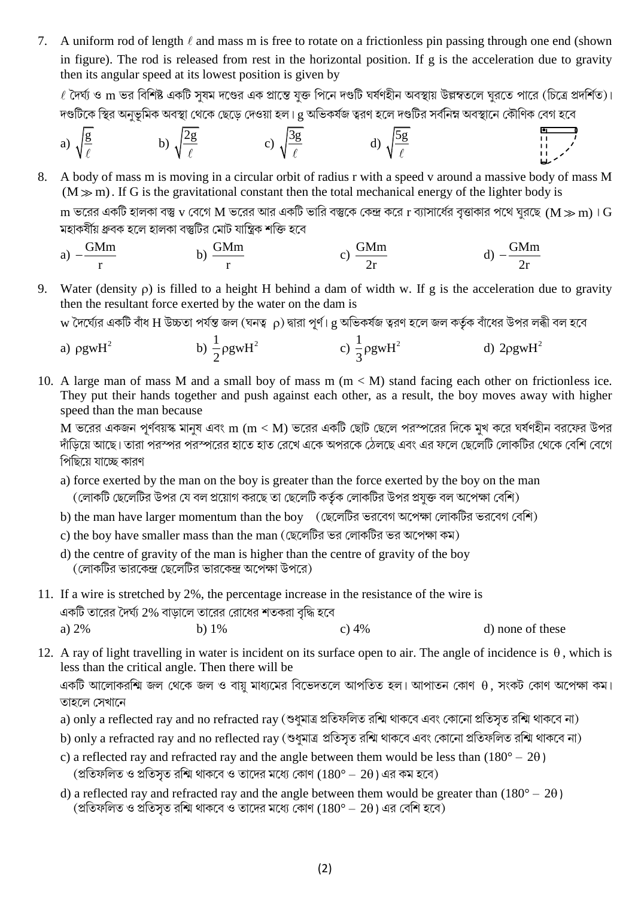7. A uniform rod of length  $\ell$  and mass m is free to rotate on a frictionless pin passing through one end (shown in figure). The rod is released from rest in the horizontal position. If g is the acceleration due to gravity then its angular speed at its lowest position is given by

 $\ell$  দৈর্ঘ্য ও  $\rm m$  ভর বিশিষ্ট একটি সুষম দণ্ডের এক প্রান্তে যুক্ত পিনে দণ্ডটি ঘর্ষণহীন অবস্থায় উল্লম্বতলে ঘরতে পারে (চিত্রে প্রদর্শিত)। দণ্ডটিকে স্থির অনুভূমিক অবস্থা থেকে ছেড়ে দেওয়া হল। cু অভিকর্ষজ ত্বরণ হলে দণ্ডটির সর্বনিম্ন অবস্থানে কৌণিক বেগ হবে

a) 
$$
\sqrt{\frac{g}{\ell}}
$$
 \t\t b)  $\sqrt{\frac{2g}{\ell}}$  \t\t c)  $\sqrt{\frac{3g}{\ell}}$  \t\t d)  $\sqrt{\frac{5g}{\ell}}$ 

A body of mass m is moving in a circular orbit of radius r with a speed v around a massive body of mass M 8.  $(M \gg m)$ . If G is the gravitational constant then the total mechanical energy of the lighter body is

 $\rm m$  ভরের একটি হালকা বস্তু  $\rm v$  বেগে M ভরের আর একটি ভারি বস্তুকে কেন্দ্র করে  $\rm r$  ব্যাসার্ধের বৃত্তাকার পথে ঘূরছে (M  $\rm \gg m$ )।  $\rm G$ মহাকৰ্ষীয় ধ্ৰুবক হলে হালকা বস্তুটির মোট যান্ত্রিক শক্তি হবে

a) 
$$
-\frac{GMm}{r}
$$
 b)  $\frac{GMm}{r}$  c)  $\frac{GMm}{2r}$  d)  $-\frac{GMm}{2r}$ 

9. Water (density  $\rho$ ) is filled to a height H behind a dam of width w. If g is the acceleration due to gravity then the resultant force exerted by the water on the dam is

 $_{\rm W}$  দৈর্ঘ্যের একটি বাঁধ H উচ্চতা পর্যন্ত জল (ঘনত্ব  $_{\rm D}$ ) দ্বারা পূর্ণ। e অভিকর্ষজ ত্বরণ হলে জল কর্তৃক বাঁধের উপর লব্ধী বল হবে

- b)  $\frac{1}{2}$  pgwH<sup>2</sup> c)  $\frac{1}{2}$  pgwH<sup>2</sup> d)  $2$ ogw $H^2$ a)  $\rho$ gw $H^2$
- 10. A large man of mass M and a small boy of mass m  $(m < M)$  stand facing each other on frictionless ice. They put their hands together and push against each other, as a result, the boy moves away with higher speed than the man because

 $M$  ভরের একজন পূর্ণবয়স্ক মানুষ এবং  $m$   $(m < M)$  ভরের একটি ছোট ছেলে পরস্পরের দিকে মুখ করে ঘর্ষণহীন বরফের উপর দাঁডিয়ে আছে। তারা পরস্পর পরস্পরের হাতে হাত রেখে একে অপরকে ঠেলছে এবং এর ফলে ছেলেটি লোকটির থেকে বেশি বেগে পিছিয়ে যাচ্ছে কারণ

- a) force exerted by the man on the boy is greater than the force exerted by the boy on the man (লোকটি ছেলেটির উপর যে বল প্রয়োগ করছে তা ছেলেটি কর্তৃক লোকটির উপর প্রযুক্ত বল অপেক্ষা বেশি)
- b) the man have larger momentum than the boy (ছেলেটির ভরবেগ অপেক্ষা লোকটির ভরবেগ বেশি)
- c) the boy have smaller mass than the man (ছেলেটির ভর লোকটির ভর অপেক্ষা কম)
- d) the centre of gravity of the man is higher than the centre of gravity of the boy (লোকটির ভারকেন্দ্র ছেলেটির ভারকেন্দ্র অপেক্ষা উপরে)
- 11. If a wire is stretched by 2%, the percentage increase in the resistance of the wire is একটি তারের দৈর্ঘ্য 2% বাডালে তারের রোধের শতকরা বদ্ধি হবে a)  $2%$ b)  $1\%$  $c) 4%$ d) none of these
- 12. A ray of light travelling in water is incident on its surface open to air. The angle of incidence is  $\theta$ , which is less than the critical angle. Then there will be

একটি আলোকরশ্মি জল থেকে জল ও বায়ু মাধ্যমের বিভেদতলে আপতিত হল। আপাতন কোণ  $\theta$ , সংকট কোণ অপেক্ষা কম। তাহলে সেখানে

- a) only a reflected ray and no refracted ray (শুধুমাত্র প্রতিফলিত রশ্মি থাকবে এবং কোনো প্রতিসূত রশ্মি থাকবে না)
- b) only a refracted ray and no reflected ray (শুধুমাত্র প্রতিসৃত রশ্মি থাকবে এবং কোনো প্রতিফলিত রশ্মি থাকবে না)
- c) a reflected ray and refracted ray and the angle between them would be less than  $(180^{\circ} 2\theta)$ (প্রতিফলিত ও প্রতিসৃত রশ্মি থাকবে ও তাদের মধ্যে কোণ  $(180^{\circ} - 20)$  এর কম হবে)
- d) a reflected ray and refracted ray and the angle between them would be greater than  $(180^{\circ} 2\theta)$ (প্রতিফলিত ও প্রতিসূত রশ্মি থাকবে ও তাদের মধ্যে কোণ ( $180^{\circ} - 20$ ) এর বেশি হবে)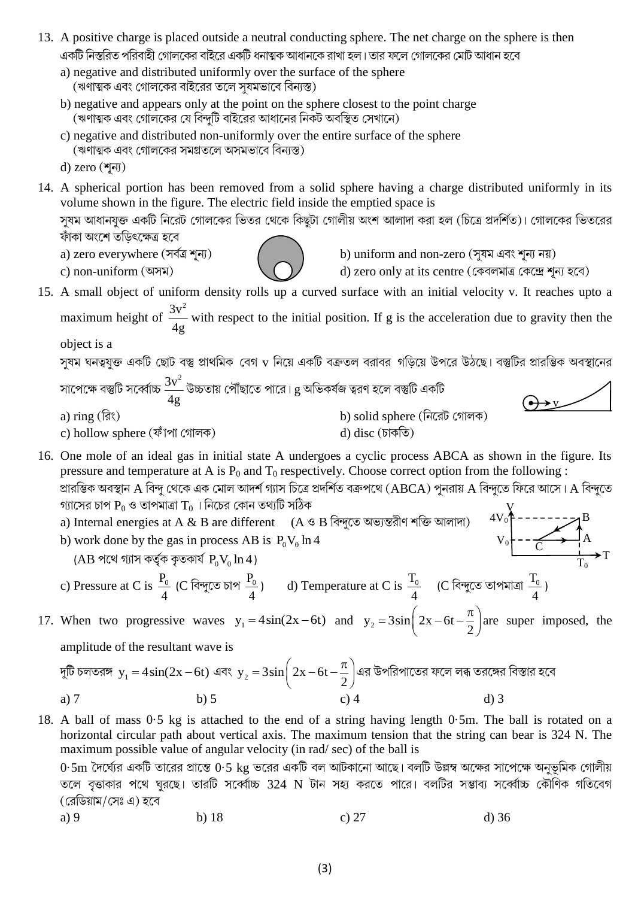- 13. A positive charge is placed outside a neutral conducting sphere. The net charge on the sphere is then একটি নিস্তরিত পরিবাহী গোলকের বাইরে একটি ধনাত্মক আধানকে রাখা হল। তার ফলে গোলকের মোট আধান হবে
	- a) negative and distributed uniformly over the surface of the sphere (ঋণাত্মক এবং গোলকের বাইরের তলে সুষমভাবে বিন্যস্ত)
	- b) negative and appears only at the point on the sphere closest to the point charge (ঋণাত্মক এবং গোলকের যে বিন্দুটি বাইরের আধানের নিকট অবস্থিত সেখানে)
	- c) negative and distributed non-uniformly over the entire surface of the sphere (ঋণাত্মক এবং গোলকের সমগ্রতলে অসমভাবে বিন্যস্ত)

14. A spherical portion has been removed from a solid sphere having a charge distributed uniformly in its volume shown in the figure. The electric field inside the emptied space is সযম আধানযক্ত একটি নিরেট গোলকের ভিতর থেকে কিছটা গোলীয় অংশ আলাদা করা হল (চিত্রে প্রদর্শিত)। গোলকের ভিতরের

ফাঁকা অংশে তডিৎক্ষেত্ৰ হবে

a) zero everywhere (সৰ্বত্ৰ শূন্য)

c) non-uniform (অসম)

b) uniform and non-zero (সৃষম এবং শূন্য নয়)

d) zero only at its centre (কেবলমাত্র কেন্দ্রে শূন্য হবে)

15. A small object of uniform density rolls up a curved surface with an initial velocity v. It reaches upto a maximum height of  $\frac{3v^2}{4g}$  with respect to the initial position. If g is the acceleration due to gravity then the

object is a

স্যম ঘনত্বযুক্ত একটি ছোট বস্তু প্রাথমিক বেগ v নিয়ে একটি বক্রতল বরাবর গড়িয়ে উপরে উঠছে। বস্তুটির প্রারম্ভিক অবস্থানের সাপেক্ষে বস্তুটি সর্ব্বোচ্চ  $\frac{3v^2}{4g}$  উচ্চতায় পৌঁছাতে পারে।  $g$  অভিকর্ষজ ত্বরণ হলে বস্তুটি একটি

- b) solid sphere (নিরেট গোলক) a)  $\text{ring}(\widehat{\mathbb{R}})$ d) disc  $(\overline{5} \circ \overline{6})$
- 
- c) hollow sphere (ফাঁপা গোলক)
- 16. One mole of an ideal gas in initial state A undergoes a cyclic process ABCA as shown in the figure. Its pressure and temperature at A is  $P_0$  and  $T_0$  respectively. Choose correct option from the following :
	- প্রারম্ভিক অবস্থান A বিন্দু থেকে এক মোল আদর্শ গ্যাস চিত্রে প্রদর্শিত বক্রপথে (ABCA) পুনরায় A বিন্দুতে ফিরে আসে। A বিন্দুতে গ্যাসের চাপ  $P_0$  ও তাপমাত্রা  $T_0$ । নিচের কোন তথ্যটি সঠিক
	- a) Internal energies at A & B are different  $(A \otimes B \nabla y)$  and  $(A \otimes B \nabla y)$
	- b) work done by the gas in process AB is  $P_0V_0 \ln 4$ 
		- $(AB \nvert \nabla \mathbb{C}^d \nabla \mathbb{C}^d \nabla \mathbb{C}^d \nabla \mathbb{C}^d \nabla \mathbb{C}^d \nabla \mathbb{C}^d \nabla \mathbb{C}^d \nabla \mathbb{C}^d \nabla \mathbb{C}^d \nabla \mathbb{C}^d$
	- c) Pressure at C is  $\frac{P_0}{4}$  (C বিন্দুতে চাপ  $\frac{P_0}{4}$ ) d) Temperature at C is  $\frac{T_0}{4}$  (C বিন্দুতে তাপমাত্রা  $\frac{T_0}{4}$ )

17. When two progressive waves  $y_1 = 4\sin(2x-6t)$  and  $y_2 = 3\sin\left(2x-6t-\frac{\pi}{2}\right)$  are super imposed, the amplitude of the resultant wave is

দুটি চলতরস্স
$$
y_1 = 4\sin(2x - 6t)
$$
 এবং  $y_2 = 3\sin\left(2x - 6t - \frac{\pi}{2}\right)$ এর উপরিপাতের ফলে লরু তরস্সের বিস্তার হবে  
a) 7 d) 3

18. A ball of mass 0.5 kg is attached to the end of a string having length 0.5m. The ball is rotated on a horizontal circular path about vertical axis. The maximum tension that the string can bear is 324 N. The maximum possible value of angular velocity (in rad/sec) of the ball is

 $0.5\text{m}$  দৈর্ঘ্যের একটি তারের প্রান্তে  $0.5\text{ kg}$  ভরের একটি বল আটকানো আছে। বলটি উল্লম্ব অক্ষের সাপেক্ষে অনুভূমিক গোলীয় তলে বৃত্তাকার পথে ঘূরছে। তারটি সর্ব্বোচ্চ 324 N টান সহ্য করতে পারে। বলটির সম্ভাব্য সর্ব্বোচ্চ কৌণিক গতিবেগ (রেডিয়াম/সেঃ এ) হবে

d) zero  $(\sqrt[3]{\pi})$